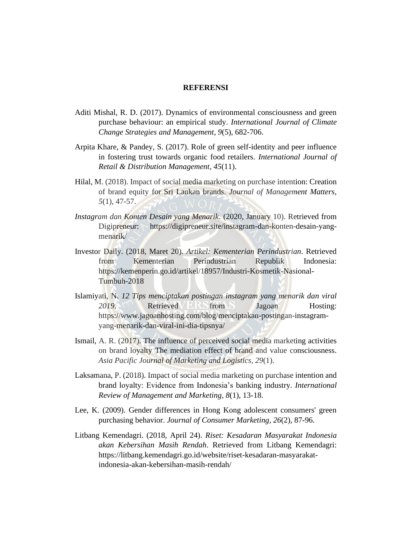## **REFERENSI**

- Aditi Mishal, R. D. (2017). Dynamics of environmental consciousness and green purchase behaviour: an empirical study. *International Journal of Climate Change Strategies and Management, 9*(5), 682-706.
- Arpita Khare, & Pandey, S. (2017). Role of green self-identity and peer influence in fostering trust towards organic food retailers. *International Journal of Retail & Distribution Management, 45*(11).
- Hilal, M. (2018). Impact of social media marketing on purchase intention: Creation of brand equity for Sri Lankan brands. *Journal of Management Matters, 5*(1), 47-57.
- *Instagram dan Konten Desain yang Menarik*. (2020, January 10). Retrieved from Digipreneur: https://digipreneur.site/instagram-dan-konten-desain-yangmenarik/
- Investor Daily. (2018, Maret 20). *Artikel: Kementerian Perindustrian*. Retrieved from Kementerian Perindustrian Republik Indonesia: https://kemenperin.go.id/artikel/18957/Industri-Kosmetik-Nasional-Tumbuh-2018
- Islamiyati, N. *12 Tips menciptakan postingan instagram yang menarik dan viral*  **2019.** Retrieved FRS from Jagoan Hosting: https://www.jagoanhosting.com/blog/menciptakan-postingan-instagramyang-menarik-dan-viral-ini-dia-tipsnya/
- Ismail, A. R. (2017). The influence of perceived social media marketing activities on brand loyalty The mediation effect of brand and value consciousness. *Asia Pacific Journal of Marketing and Logistics, 29*(1).
- Laksamana, P. (2018). Impact of social media marketing on purchase intention and brand loyalty: Evidence from Indonesia's banking industry. *International Review of Management and Marketing, 8*(1), 13-18.
- Lee, K. (2009). Gender differences in Hong Kong adolescent consumers' green purchasing behavior. *Journal of Consumer Marketing, 26*(2), 87-96.
- Litbang Kemendagri. (2018, April 24). *Riset: Kesadaran Masyarakat Indonesia akan Kebersihan Masih Rendah*. Retrieved from Litbang Kemendagri: https://litbang.kemendagri.go.id/website/riset-kesadaran-masyarakatindonesia-akan-kebersihan-masih-rendah/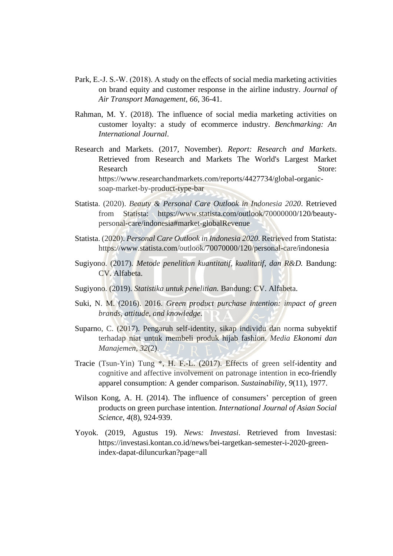- Park, E.-J. S.-W. (2018). A study on the effects of social media marketing activities on brand equity and customer response in the airline industry. *Journal of Air Transport Management, 66,* 36-41.
- Rahman, M. Y. (2018). The influence of social media marketing activities on customer loyalty: a study of ecommerce industry. *Benchmarking: An International Journal*.
- Research and Markets. (2017, November). *Report: Research and Markets*. Retrieved from Research and Markets The World's Largest Market Research Store: https://www.researchandmarkets.com/reports/4427734/global-organicsoap-market-by-product-type-bar
- Statista. (2020). *Beauty & Personal Care Outlook in Indonesia 2020*. Retrieved from Statista: https://www.statista.com/outlook/70000000/120/beautypersonal-care/indonesia#market-globalRevenue
- Statista. (2020). *Personal Care Outlook in Indonesia 2020*. Retrieved from Statista: https://www.statista.com/outlook/70070000/120/personal-care/indonesia
- Sugiyono. (2017). *Metode penelitian kuantitatif, kualitatif, dan R&D.* Bandung: CV. Alfabeta.
- Sugiyono. (2019). *Statistika untuk penelitian.* Bandung: CV. Alfabeta.
- Suki, N. M. (2016). 2016. *Green product purchase intention: impact of green brands, attitude, and knowledge*.
- Suparno, C. (2017). Pengaruh self-identity, sikap individu dan norma subyektif terhadap niat untuk membeli produk hijab fashion. *Media Ekonomi dan Manajemen, 32*(2).
- Tracie (Tsun-Yin) Tung \*, H. F.-L. (2017). Effects of green self-identity and cognitive and affective involvement on patronage intention in eco-friendly apparel consumption: A gender comparison. *Sustainability, 9*(11), 1977.
- Wilson Kong, A. H. (2014). The influence of consumers' perception of green products on green purchase intention. *International Journal of Asian Social Science, 4*(8), 924-939.
- Yoyok. (2019, Agustus 19). *News: Investasi*. Retrieved from Investasi: https://investasi.kontan.co.id/news/bei-targetkan-semester-i-2020-greenindex-dapat-diluncurkan?page=all